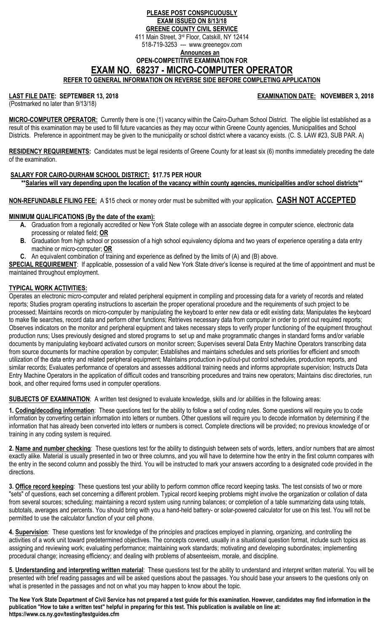#### **PLEASE POST CONSPICUOUSLY EXAM ISSUED ON 8/13/18 GREENE COUNTY CIVIL SERVICE**  411 Main Street, 3rd Floor, Catskill, NY 12414 518-719-3253 --- www.greenegov.com **Announces an OPEN-COMPETITIVE EXAMINATION FOR EXAM NO. 68237 - MICRO-COMPUTER OPERATOR REFER TO GENERAL INFORMATION ON REVERSE SIDE BEFORE COMPLETING APPLICATION**

# LAST FILE DATE: SEPTEMBER 13, 2018 **EXAMINATION DATE: NOVEMBER 3, 2018**

(Postmarked no later than 9/13/18)

**MICRO-COMPUTER OPERATOR:** Currently there is one (1) vacancy within the Cairo-Durham School District. The eligible list established as a result of this examination may be used to fill future vacancies as they may occur within Greene County agencies, Municipalities and School Districts. Preference in appointment may be given to the municipality or school district where a vacancy exists. (C. S. LAW #23, SUB PAR. A)

**RESIDENCY REQUIREMENTS:** Candidates must be legal residents of Greene County for at least six (6) months immediately preceding the date of the examination.

#### **SALARY FOR CAIRO-DURHAM SCHOOL DISTRICT: \$17.75 PER HOUR \*\*Salaries will vary depending upon the location of the vacancy within county agencies, municipalities and/or school districts\*\***

**NON-REFUNDABLE FILING FEE:** A \$15 check or money order must be submitted with your application**. CASH NOT ACCEPTED**

### **MINIMUM QUALIFICATIONS (By the date of the exam):**

- **A.** Graduation from a regionally accredited or New York State college with an associate degree in computer science, electronic data processing or related field; **OR**
- **B.** Graduation from high school or possession of a high school equivalency diploma and two years of experience operating a data entry machine or micro-computer; **OR**
- **C.** An equivalent combination of training and experience as defined by the limits of (A) and (B) above.

**SPECIAL REQUIREMENT**: If applicable, possession of a valid New York State driver's license is required at the time of appointment and must be maintained throughout employment.

## **TYPICAL WORK ACTIVITIES:**

Operates an electronic micro-computer and related peripheral equipment in compiling and processing data for a variety of records and related reports; Studies program operating instructions to ascertain the proper operational procedure and the requirements of such project to be processed; Maintains records on micro-computer by manipulating the keyboard to enter new data or edit existing data; Manipulates the keyboard to make file searches, record data and perform other functions; Retrieves necessary data from computer in order to print out required reports; Observes indicators on the monitor and peripheral equipment and takes necessary steps to verify proper functioning of the equipment throughout production runs; Uses previously designed and stored programs to set up and make programmatic changes in standard forms and/or variable documents by manipulating keyboard activated cursors on monitor screen; Supervises several Data Entry Machine Operators transcribing data from source documents for machine operation by computer; Establishes and maintains schedules and sets priorities for efficient and smooth utilization of the data entry and related peripheral equipment; Maintains production in-put/out-put control schedules, production reports, and similar records; Evaluates performance of operators and assesses additional training needs and informs appropriate supervision; Instructs Data Entry Machine Operators in the application of difficult codes and transcribing procedures and trains new operators; Maintains disc directories, run book, and other required forms used in computer operations.

**SUBJECTS OF EXAMINATION**: A written test designed to evaluate knowledge, skills and /or abilities in the following areas:

**1. Coding/decoding information**: These questions test for the ability to follow a set of coding rules. Some questions will require you to code information by converting certain information into letters or numbers. Other questions will require you to decode information by determining if the information that has already been converted into letters or numbers is correct. Complete directions will be provided; no previous knowledge of or training in any coding system is required.

**2. Name and number checking**: These questions test for the ability to distinguish between sets of words, letters, and/or numbers that are almost exactly alike. Material is usually presented in two or three columns, and you will have to determine how the entry in the first column compares with the entry in the second column and possibly the third. You will be instructed to mark your answers according to a designated code provided in the directions.

**3. Office record keeping**: These questions test your ability to perform common office record keeping tasks. The test consists of two or more "sets" of questions, each set concerning a different problem. Typical record keeping problems might involve the organization or collation of data from several sources; scheduling; maintaining a record system using running balances; or completion of a table summarizing data using totals, subtotals, averages and percents. You should bring with you a hand-held battery- or solar-powered calculator for use on this test. You will not be permitted to use the calculator function of your cell phone.

**4. Supervision**: These questions test for knowledge of the principles and practices employed in planning, organizing, and controlling the activities of a work unit toward predetermined objectives. The concepts covered, usually in a situational question format, include such topics as assigning and reviewing work; evaluating performance; maintaining work standards; motivating and developing subordinates; implementing procedural change; increasing efficiency; and dealing with problems of absenteeism, morale, and discipline.

**5. Understanding and interpreting written material**: These questions test for the ability to understand and interpret written material. You will be presented with brief reading passages and will be asked questions about the passages. You should base your answers to the questions only on what is presented in the passages and not on what you may happen to know about the topic.

**The New York State Department of Civil Service has not prepared a test guide for this examination. However, candidates may find information in the publication "How to take a written test" helpful in preparing for this test. This publication is available on line at: https://www.cs.ny.gov/testing/testguides.cfm**